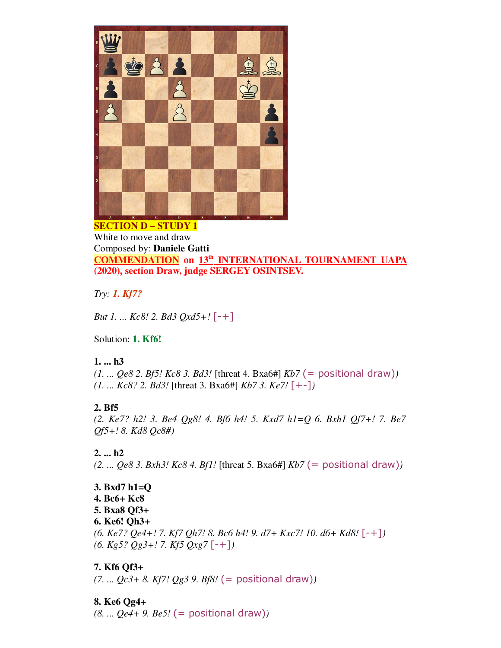

White to move and draw Composed by: **Daniele Gatti COMMENDATION on 13 th INTERNATIONAL TOURNAMENT UAPA (2020), section Draw, judge SERGEY OSINTSEV.**

*Try: 1. Kf7?*

*But 1. ... Kc8! 2. Bd3 Qxd5+!* [-+]

Solution: **1. Kf6!**

## **1. ... h3**

*(1. ... Qe8 2. Bf5! Kc8 3. Bd3!* [threat 4. Bxa6#] *Kb7* (= positional draw)*) (1. ... Kc8? 2. Bd3!* [threat 3. Bxa6#] *Kb7 3. Ke7!* [+-]*)*

## **2. Bf5**

*(2. Ke7? h2! 3. Be4 Qg8! 4. Bf6 h4! 5. Kxd7 h1=Q 6. Bxh1 Qf7+! 7. Be7 Qf5+! 8. Kd8 Qc8#)*

## **2. ... h2**

*(2. ... Qe8 3. Bxh3! Kc8 4. Bf1!* [threat 5. Bxa6#] *Kb7* (= positional draw)*)*

**3. Bxd7 h1=Q 4. Bc6+ Kc8 5. Bxa8 Qf3+ 6. Ke6! Qh3+** *(6. Ke7? Qe4+! 7. Kf7 Qh7! 8. Bc6 h4! 9. d7+ Kxc7! 10. d6+ Kd8!* [-+]*) (6. Kg5? Qg3+! 7. Kf5 Qxg7* [-+]*)*

# **7. Kf6 Qf3+**

*(7. ... Qc3+ 8. Kf7! Qg3 9. Bf8!* (= positional draw)*)*

# **8. Ke6 Qg4+**

*(8. ... Qe4+ 9. Be5!* (= positional draw)*)*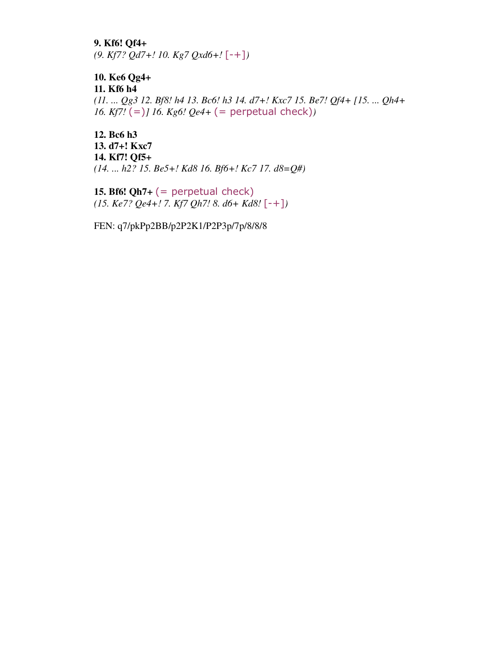**9. Kf6! Qf4+** *(9. Kf7? Qd7+! 10. Kg7 Qxd6+!* [-+]*)*

**10. Ke6 Qg4+ 11. Kf6 h4** *(11. ... Qg3 12. Bf8! h4 13. Bc6! h3 14. d7+! Kxc7 15. Be7! Qf4+ [15. ... Qh4+ 16. Kf7!* (=)*] 16. Kg6! Qe4+* (= perpetual check)*)*

**12. Bc6 h3 13. d7+! Kxc7 14. Kf7! Qf5+** *(14. ... h2? 15. Be5+! Kd8 16. Bf6+! Kc7 17. d8=Q#)*

**15. Bf6! Qh7+**  $(=$  perpetual check $)$ *(15. Ke7? Qe4+! 7. Kf7 Qh7! 8. d6+ Kd8!* [-+]*)*

FEN: q7/pkPp2BB/p2P2K1/P2P3p/7p/8/8/8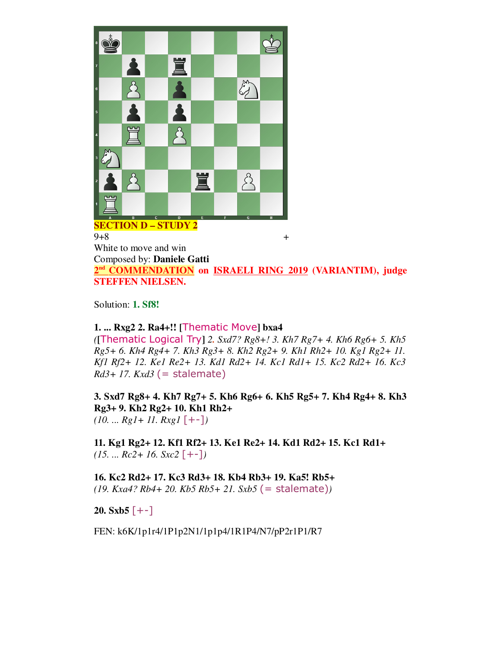

**SECTION D – STUDY 2**

 $9+8$  + White to move and win Composed by: **Daniele Gatti** 2<sup>nd</sup> COMMENDATION on **ISRAELI RING 2019** (VARIANTIM), judge **STEFFEN NIELSEN.**

Solution: **1. Sf8!**

## **1. ... Rxg2 2. Ra4+!! [**Thematic Move**] bxa4**

*(***[**Thematic Logical Try**]** *2. Sxd7? Rg8+! 3. Kh7 Rg7+ 4. Kh6 Rg6+ 5. Kh5 Rg5+ 6. Kh4 Rg4+ 7. Kh3 Rg3+ 8. Kh2 Rg2+ 9. Kh1 Rh2+ 10. Kg1 Rg2+ 11. Kf1 Rf2+ 12. Ke1 Re2+ 13. Kd1 Rd2+ 14. Kc1 Rd1+ 15. Kc2 Rd2+ 16. Kc3 Rd3+ 17. Kxd3* (= stalemate)

**3. Sxd7 Rg8+ 4. Kh7 Rg7+ 5. Kh6 Rg6+ 6. Kh5 Rg5+ 7. Kh4 Rg4+ 8. Kh3 Rg3+ 9. Kh2 Rg2+ 10. Kh1 Rh2+** 

*(10. ... Rg1+ 11. Rxg1* [+-]*)*

**11. Kg1 Rg2+ 12. Kf1 Rf2+ 13. Ke1 Re2+ 14. Kd1 Rd2+ 15. Kc1 Rd1+**  *(15. ... Rc2+ 16. Sxc2* [+-]*)*

**16. Kc2 Rd2+ 17. Kc3 Rd3+ 18. Kb4 Rb3+ 19. Ka5! Rb5+** *(19. Kxa4? Rb4+ 20. Kb5 Rb5+ 21. Sxb5* (= stalemate)*)*

**20.** Sxb5  $[--]$ 

FEN: k6K/1p1r4/1P1p2N1/1p1p4/1R1P4/N7/pP2r1P1/R7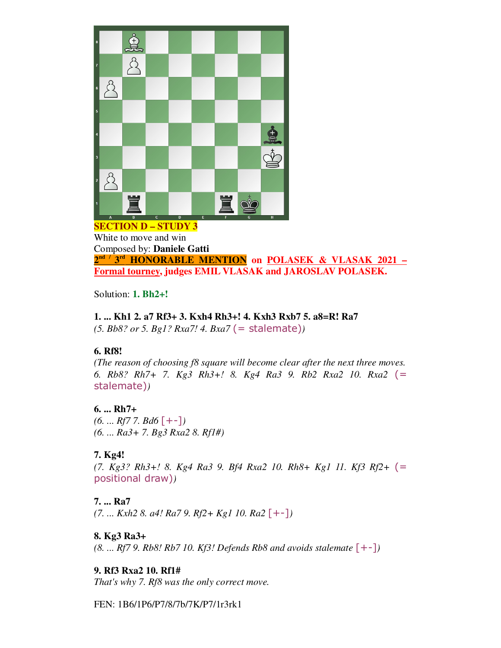

White to move and win Composed by: **Daniele Gatti 2 nd / 3 rd HONORABLE MENTION on POLASEK & VLASAK 2021 – Formal tourney, judges EMIL VLASAK and JAROSLAV POLASEK.**

Solution: **1. Bh2+!**

#### **1. ... Kh1 2. a7 Rf3+ 3. Kxh4 Rh3+! 4. Kxh3 Rxb7 5. a8=R! Ra7**

*(5. Bb8? or 5. Bg1? Rxa7! 4. Bxa7* (= stalemate)*)*

## **6. Rf8!**

*(The reason of choosing f8 square will become clear after the next three moves. 6. Rb8? Rh7+ 7. Kg3 Rh3+! 8. Kg4 Ra3 9. Rb2 Rxa2 10. Rxa2* (= stalemate)*)*

## **6. ... Rh7+**

*(6. ... Rf7 7. Bd6* [+-]*) (6. ... Ra3+ 7. Bg3 Rxa2 8. Rf1#)*

# **7. Kg4!**

*(7. Kg3? Rh3+! 8. Kg4 Ra3 9. Bf4 Rxa2 10. Rh8+ Kg1 11. Kf3 Rf2+* (= positional draw)*)*

## **7. ... Ra7**

*(7. ... Kxh2 8. a4! Ra7 9. Rf2+ Kg1 10. Ra2* [+-]*)*

## **8. Kg3 Ra3+**

*(8. ... Rf7 9. Rb8! Rb7 10. Kf3! Defends Rb8 and avoids stalemate*  $[-+]$ *)* 

**9. Rf3 Rxa2 10. Rf1#**

*That's why 7. Rf8 was the only correct move.*

FEN: 1B6/1P6/P7/8/7b/7K/P7/1r3rk1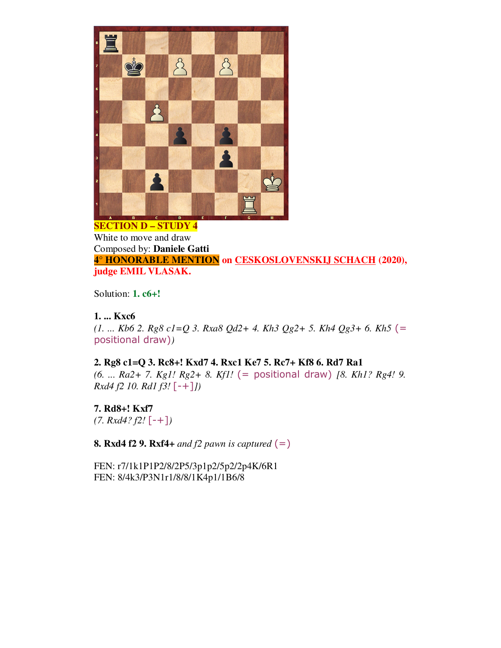

#### **SECTION D – STUDY 4** White to move and draw Composed by: **Daniele Gatti 4° HONORABLE MENTION on CESKOSLOVENSKIJ SCHACH (2020), judge EMIL VLASAK.**

Solution: **1. c6+!**

## **1. ... Kxc6**

*(1. ... Kb6 2. Rg8 c1=Q 3. Rxa8 Qd2+ 4. Kh3 Qg2+ 5. Kh4 Qg3+ 6. Kh5* (= positional draw)*)*

## **2. Rg8 c1=Q 3. Rc8+! Kxd7 4. Rxc1 Ke7 5. Rc7+ Kf8 6. Rd7 Ra1**

*(6. ... Ra2+ 7. Kg1! Rg2+ 8. Kf1!* (= positional draw) *[8. Kh1? Rg4! 9. Rxd4 f2 10. Rd1 f3!* [-+]*])*

**7. Rd8+! Kxf7** *(7. Rxd4? f2!* [-+]*)*

**8. Rxd4 f2 9. Rxf4+** *and f2 pawn is captured* (=)

FEN: r7/1k1P1P2/8/2P5/3p1p2/5p2/2p4K/6R1 FEN: 8/4k3/P3N1r1/8/8/1K4p1/1B6/8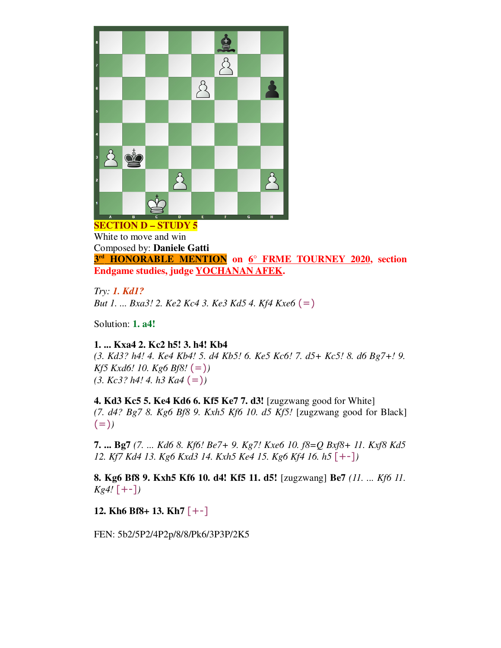

**SECTION D – STUDY 5** White to move and win Composed by: **Daniele Gatti 3 rd HONORABLE MENTION on 6° FRME TOURNEY 2020, section Endgame studies, judge YOCHANAN AFEK.**

*Try: 1. Kd1?*

*But 1. ... Bxa3! 2. Ke2 Kc4 3. Ke3 Kd5 4. Kf4 Kxe6* (=)

Solution: **1. a4!**

**1. ... Kxa4 2. Kc2 h5! 3. h4! Kb4**

*(3. Kd3? h4! 4. Ke4 Kb4! 5. d4 Kb5! 6. Ke5 Kc6! 7. d5+ Kc5! 8. d6 Bg7+! 9. Kf5 Kxd6! 10. Kg6 Bf8!* (=)*) (3. Kc3? h4! 4. h3 Ka4* (=)*)*

**4. Kd3 Kc5 5. Ke4 Kd6 6. Kf5 Ke7 7. d3!** [zugzwang good for White] *(7. d4? Bg7 8. Kg6 Bf8 9. Kxh5 Kf6 10. d5 Kf5!* [zugzwang good for Black]  $(=)$ 

**7. ... Bg7** *(7. ... Kd6 8. Kf6! Be7+ 9. Kg7! Kxe6 10. f8=Q Bxf8+ 11. Kxf8 Kd5 12. Kf7 Kd4 13. Kg6 Kxd3 14. Kxh5 Ke4 15. Kg6 Kf4 16. h5* [+-]*)*

**8. Kg6 Bf8 9. Kxh5 Kf6 10. d4! Kf5 11. d5!** [zugzwang] **Be7** *(11. ... Kf6 11. Kg4!* [+-]*)*

**12. Kh6 Bf8+ 13. Kh7** [+-]

FEN: 5b2/5P2/4P2p/8/8/Pk6/3P3P/2K5